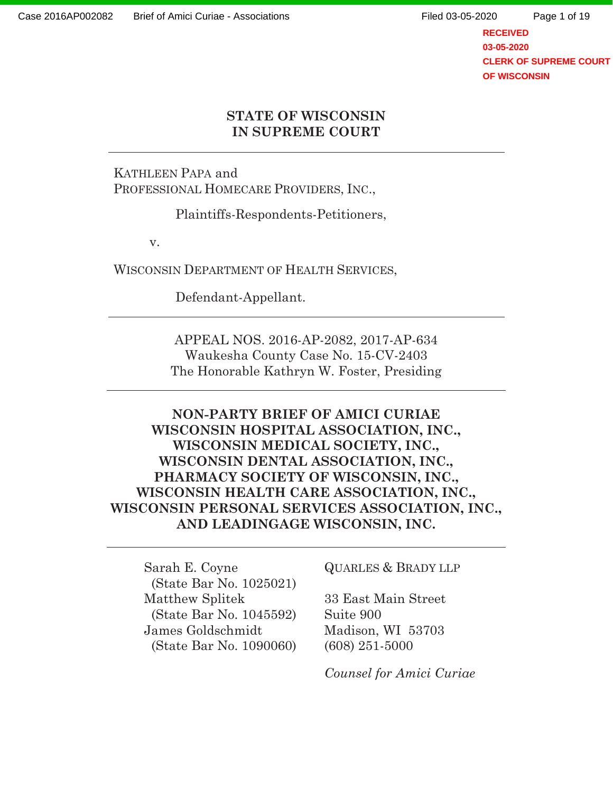**RECEIVED 03-05-2020 CLERK OF SUPREME COURT OF WISCONSIN**

### **STATE OF WISCONSIN IN SUPREME COURT**

KATHLEEN PAPA and PROFESSIONAL HOMECARE PROVIDERS, INC.,

Plaintiffs-Respondents-Petitioners,

v.

WISCONSIN DEPARTMENT OF HEALTH SERVICES,

Defendant-Appellant.

APPEAL NOS. 2016-AP-2082, 2017-AP-634 Waukesha County Case No. 15-CV-2403 The Honorable Kathryn W. Foster, Presiding

**NON-PARTY BRIEF OF AMICI CURIAE WISCONSIN HOSPITAL ASSOCIATION, INC., WISCONSIN MEDICAL SOCIETY, INC., WISCONSIN DENTAL ASSOCIATION, INC., PHARMACY SOCIETY OF WISCONSIN, INC., WISCONSIN HEALTH CARE ASSOCIATION, INC., WISCONSIN PERSONAL SERVICES ASSOCIATION, INC., AND LEADINGAGE WISCONSIN, INC.** 

Sarah E. Coyne QUARLES & BRADY LLP (State Bar No. 1025021) Matthew Splitek 33 East Main Street (State Bar No. 1045592) Suite 900 James Goldschmidt Madison, WI 53703 (State Bar No. 1090060) (608) 251-5000

 *Counsel for Amici Curiae*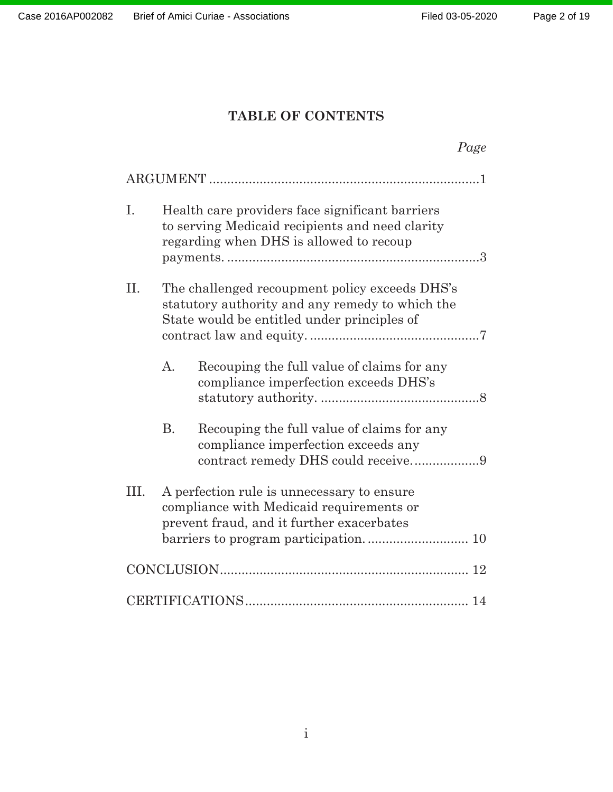## **TABLE OF CONTENTS**

|      |                                                                                                                                     |                                                                                                                                                  | Page |
|------|-------------------------------------------------------------------------------------------------------------------------------------|--------------------------------------------------------------------------------------------------------------------------------------------------|------|
|      |                                                                                                                                     |                                                                                                                                                  |      |
| I.   |                                                                                                                                     | Health care providers face significant barriers<br>to serving Medicaid recipients and need clarity<br>regarding when DHS is allowed to recoup    |      |
| Π.   |                                                                                                                                     | The challenged recoupment policy exceeds DHS's<br>statutory authority and any remedy to which the<br>State would be entitled under principles of |      |
|      | $\mathbf{A}$ .                                                                                                                      | Recouping the full value of claims for any<br>compliance imperfection exceeds DHS's                                                              |      |
|      | <b>B.</b>                                                                                                                           | Recouping the full value of claims for any<br>compliance imperfection exceeds any                                                                |      |
| III. | A perfection rule is unnecessary to ensure<br>compliance with Medicaid requirements or<br>prevent fraud, and it further exacerbates |                                                                                                                                                  |      |
|      |                                                                                                                                     |                                                                                                                                                  |      |
|      |                                                                                                                                     |                                                                                                                                                  |      |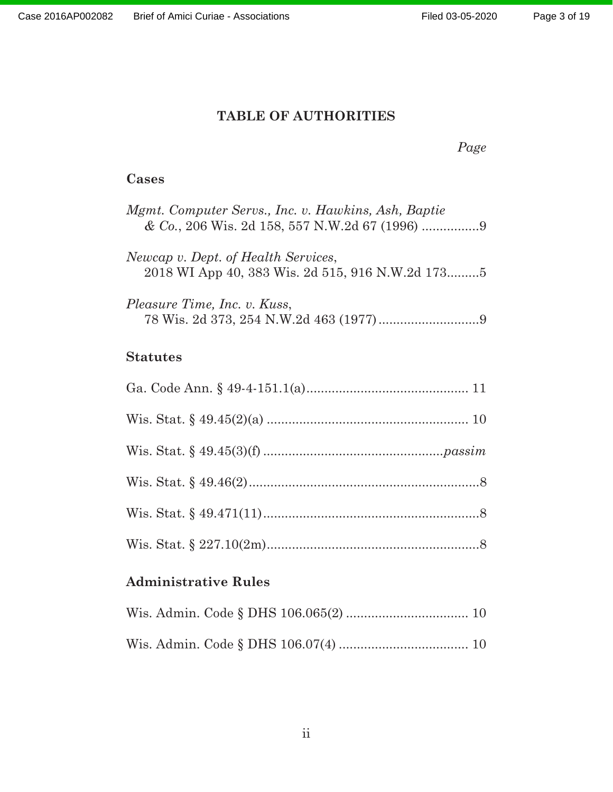#### **TABLE OF AUTHORITIES**

#### *Page*

### **Cases**

| Mgmt. Computer Servs., Inc. v. Hawkins, Ash, Baptie                                     |
|-----------------------------------------------------------------------------------------|
| Newcap v. Dept. of Health Services,<br>2018 WI App 40, 383 Wis. 2d 515, 916 N.W.2d 1735 |
| Pleasure Time, Inc. v. Kuss,                                                            |
| <b>Statutes</b>                                                                         |
|                                                                                         |
|                                                                                         |
|                                                                                         |
|                                                                                         |
|                                                                                         |
|                                                                                         |

## **Administrative Rules**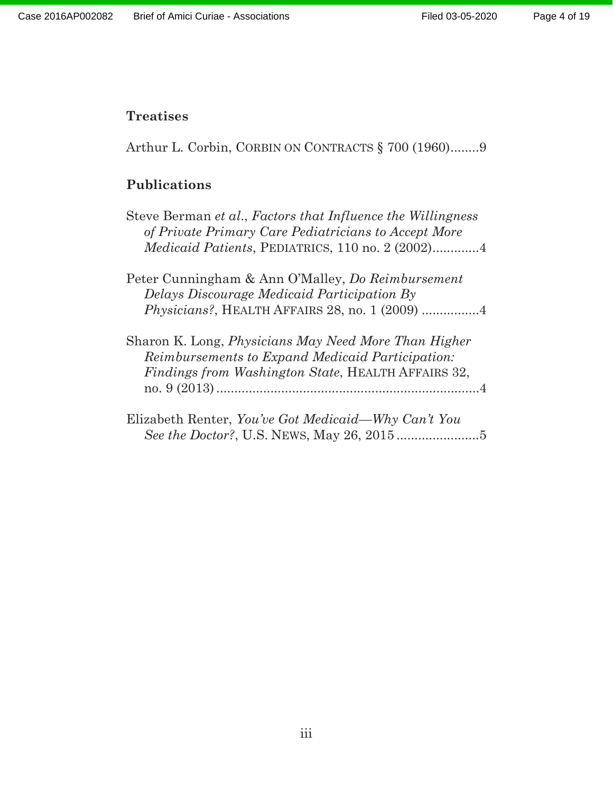### **Treatises**

Arthur L. Corbin, CORBIN ON CONTRACTS § 700 (1960)........9

# **Publications**

| Steve Berman et al., Factors that Influence the Willingness<br>of Private Primary Care Pediatricians to Accept More                                                   |  |
|-----------------------------------------------------------------------------------------------------------------------------------------------------------------------|--|
| Medicaid Patients, PEDIATRICS, 110 no. 2 (2002)4                                                                                                                      |  |
| Peter Cunningham & Ann O'Malley, <i>Do Reimbursement</i><br>Delays Discourage Medicaid Participation By                                                               |  |
| Sharon K. Long, <i>Physicians May Need More Than Higher</i><br>Reimbursements to Expand Medicaid Participation:<br>Findings from Washington State, HEALTH AFFAIRS 32, |  |
| Elizabeth Renter, You've Got Medicaid—Why Can't You                                                                                                                   |  |

*See the Doctor?*, U.S. NEWS, May 26, 2015 .......................5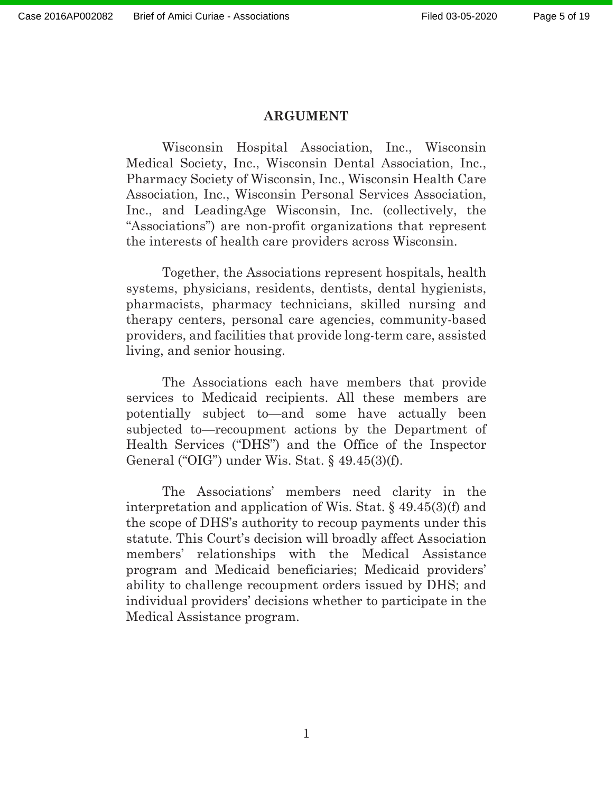#### **ARGUMENT**

Wisconsin Hospital Association, Inc., Wisconsin Medical Society, Inc., Wisconsin Dental Association, Inc., Pharmacy Society of Wisconsin, Inc., Wisconsin Health Care Association, Inc., Wisconsin Personal Services Association, Inc., and LeadingAge Wisconsin, Inc. (collectively, the "Associations") are non-profit organizations that represent the interests of health care providers across Wisconsin.

Together, the Associations represent hospitals, health systems, physicians, residents, dentists, dental hygienists, pharmacists, pharmacy technicians, skilled nursing and therapy centers, personal care agencies, community-based providers, and facilities that provide long-term care, assisted living, and senior housing.

 The Associations each have members that provide services to Medicaid recipients. All these members are potentially subject to—and some have actually been subjected to—recoupment actions by the Department of Health Services ("DHS") and the Office of the Inspector General ("OIG") under Wis. Stat.  $\S$  49.45(3)(f).

The Associations' members need clarity in the interpretation and application of Wis. Stat. § 49.45(3)(f) and the scope of DHS's authority to recoup payments under this statute. This Court's decision will broadly affect Association members' relationships with the Medical Assistance program and Medicaid beneficiaries; Medicaid providers' ability to challenge recoupment orders issued by DHS; and individual providers' decisions whether to participate in the Medical Assistance program.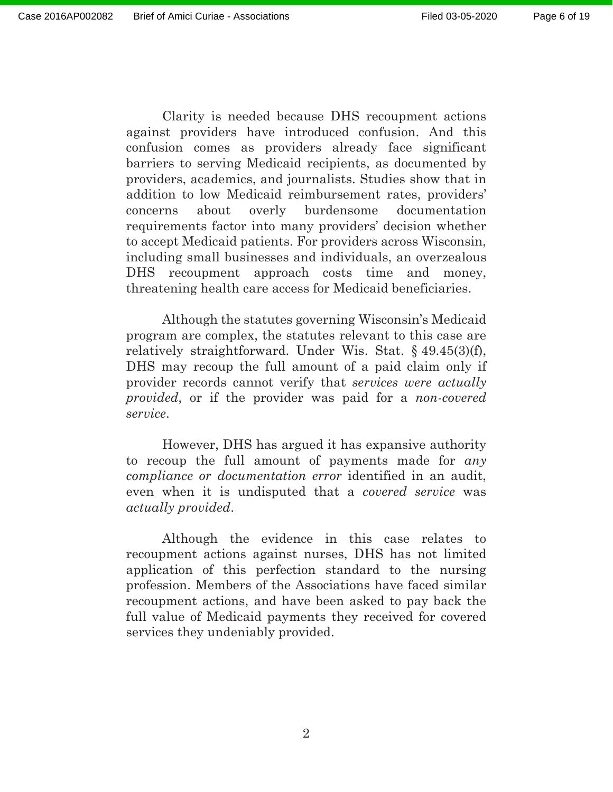Page 6 of 19

Clarity is needed because DHS recoupment actions against providers have introduced confusion. And this confusion comes as providers already face significant barriers to serving Medicaid recipients, as documented by providers, academics, and journalists. Studies show that in addition to low Medicaid reimbursement rates, providers' concerns about overly burdensome documentation requirements factor into many providers' decision whether to accept Medicaid patients. For providers across Wisconsin, including small businesses and individuals, an overzealous DHS recoupment approach costs time and money, threatening health care access for Medicaid beneficiaries.

Although the statutes governing Wisconsin's Medicaid program are complex, the statutes relevant to this case are relatively straightforward. Under Wis. Stat. § 49.45(3)(f), DHS may recoup the full amount of a paid claim only if provider records cannot verify that *services were actually provided*, or if the provider was paid for a *non-covered service*.

However, DHS has argued it has expansive authority to recoup the full amount of payments made for *any compliance or documentation error* identified in an audit, even when it is undisputed that a *covered service* was *actually provided*.

Although the evidence in this case relates to recoupment actions against nurses, DHS has not limited application of this perfection standard to the nursing profession. Members of the Associations have faced similar recoupment actions, and have been asked to pay back the full value of Medicaid payments they received for covered services they undeniably provided.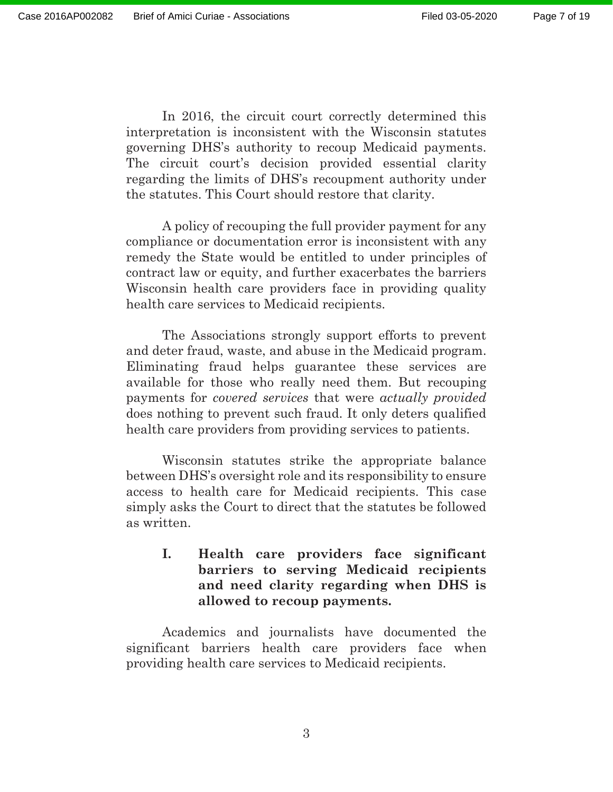In 2016, the circuit court correctly determined this interpretation is inconsistent with the Wisconsin statutes governing DHS's authority to recoup Medicaid payments. The circuit court's decision provided essential clarity regarding the limits of DHS's recoupment authority under the statutes. This Court should restore that clarity.

A policy of recouping the full provider payment for any compliance or documentation error is inconsistent with any remedy the State would be entitled to under principles of contract law or equity, and further exacerbates the barriers Wisconsin health care providers face in providing quality health care services to Medicaid recipients.

The Associations strongly support efforts to prevent and deter fraud, waste, and abuse in the Medicaid program. Eliminating fraud helps guarantee these services are available for those who really need them. But recouping payments for *covered services* that were *actually provided* does nothing to prevent such fraud. It only deters qualified health care providers from providing services to patients.

Wisconsin statutes strike the appropriate balance between DHS's oversight role and its responsibility to ensure access to health care for Medicaid recipients. This case simply asks the Court to direct that the statutes be followed as written.

#### **I. Health care providers face significant barriers to serving Medicaid recipients and need clarity regarding when DHS is allowed to recoup payments.**

Academics and journalists have documented the significant barriers health care providers face when providing health care services to Medicaid recipients.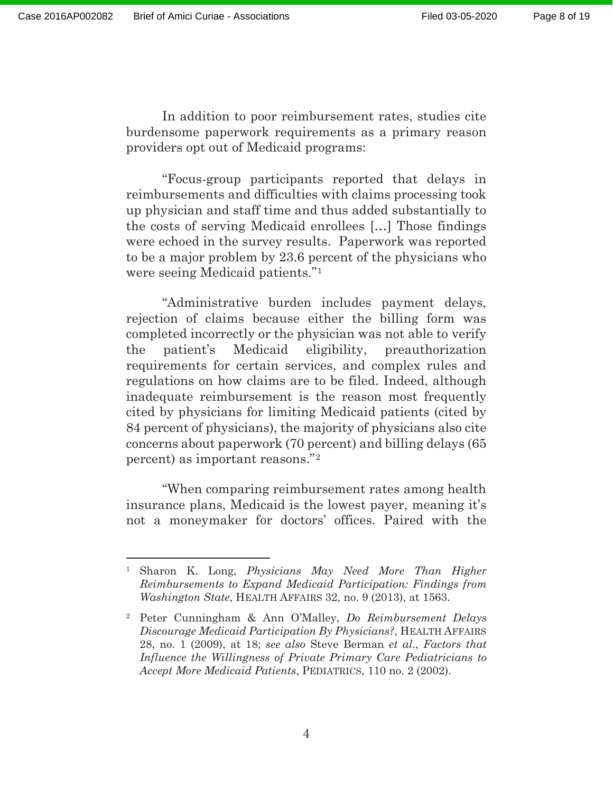In addition to poor reimbursement rates, studies cite burdensome paperwork requirements as a primary reason providers opt out of Medicaid programs:

"Focus-group participants reported that delays in reimbursements and difficulties with claims processing took up physician and staff time and thus added substantially to the costs of serving Medicaid enrollees […] Those findings were echoed in the survey results. Paperwork was reported to be a major problem by 23.6 percent of the physicians who were seeing Medicaid patients."1

"Administrative burden includes payment delays, rejection of claims because either the billing form was completed incorrectly or the physician was not able to verify the patient's Medicaid eligibility, preauthorization requirements for certain services, and complex rules and regulations on how claims are to be filed. Indeed, although inadequate reimbursement is the reason most frequently cited by physicians for limiting Medicaid patients (cited by 84 percent of physicians), the majority of physicians also cite concerns about paperwork (70 percent) and billing delays (65 percent) as important reasons."2

"When comparing reimbursement rates among health insurance plans, Medicaid is the lowest payer, meaning it's not a moneymaker for doctors' offices. Paired with the

<sup>1</sup> Sharon K. Long, *Physicians May Need More Than Higher Reimbursements to Expand Medicaid Participation: Findings from Washington State*, HEALTH AFFAIRS 32, no. 9 (2013), at 1563.

<sup>2</sup> Peter Cunningham & Ann O'Malley, *Do Reimbursement Delays Discourage Medicaid Participation By Physicians?*, HEALTH AFFAIRS 28, no. 1 (2009), at 18; *see also* Steve Berman *et al*., *Factors that Influence the Willingness of Private Primary Care Pediatricians to Accept More Medicaid Patients*, PEDIATRICS, 110 no. 2 (2002).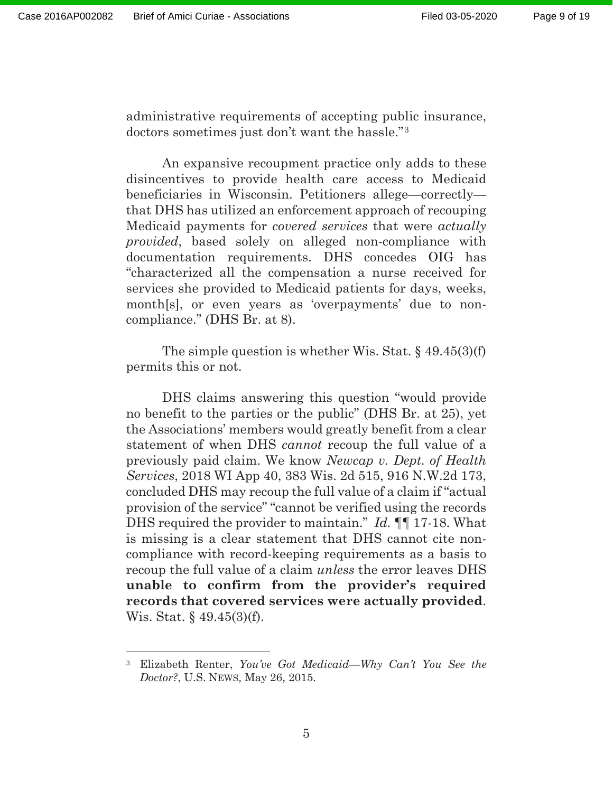administrative requirements of accepting public insurance, doctors sometimes just don't want the hassle."3

An expansive recoupment practice only adds to these disincentives to provide health care access to Medicaid beneficiaries in Wisconsin. Petitioners allege—correctly that DHS has utilized an enforcement approach of recouping Medicaid payments for *covered services* that were *actually provided*, based solely on alleged non-compliance with documentation requirements. DHS concedes OIG has "characterized all the compensation a nurse received for services she provided to Medicaid patients for days, weeks, month[s], or even years as 'overpayments' due to noncompliance." (DHS Br. at 8).

The simple question is whether Wis. Stat. § 49.45(3)(f) permits this or not.

DHS claims answering this question "would provide no benefit to the parties or the public" (DHS Br. at 25), yet the Associations' members would greatly benefit from a clear statement of when DHS *cannot* recoup the full value of a previously paid claim. We know *Newcap v. Dept. of Health Services*, 2018 WI App 40, 383 Wis. 2d 515, 916 N.W.2d 173, concluded DHS may recoup the full value of a claim if "actual provision of the service" "cannot be verified using the records DHS required the provider to maintain." *Id.* ¶¶ 17-18. What is missing is a clear statement that DHS cannot cite noncompliance with record-keeping requirements as a basis to recoup the full value of a claim *unless* the error leaves DHS **unable to confirm from the provider's required records that covered services were actually provided**. Wis. Stat. § 49.45(3)(f).

<sup>3</sup> Elizabeth Renter, *You've Got Medicaid—Why Can't You See the Doctor?*, U.S. NEWS, May 26, 2015.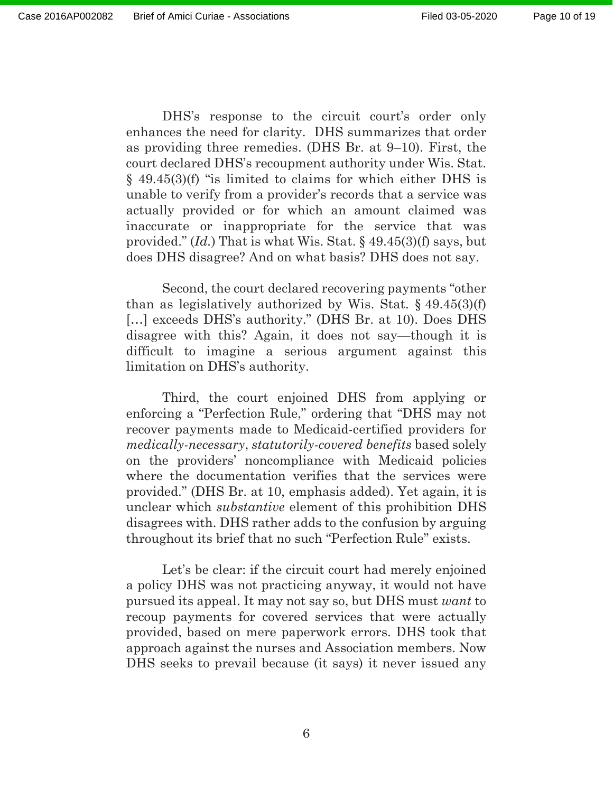DHS's response to the circuit court's order only enhances the need for clarity. DHS summarizes that order as providing three remedies. (DHS Br. at 9–10). First, the court declared DHS's recoupment authority under Wis. Stat. § 49.45(3)(f) "is limited to claims for which either DHS is unable to verify from a provider's records that a service was actually provided or for which an amount claimed was inaccurate or inappropriate for the service that was provided." (*Id.*) That is what Wis. Stat. § 49.45(3)(f) says, but does DHS disagree? And on what basis? DHS does not say.

Second, the court declared recovering payments "other than as legislatively authorized by Wis. Stat.  $\frac{49.45(3)(f)}{2}$ [...] exceeds DHS's authority." (DHS Br. at 10). Does DHS disagree with this? Again, it does not say—though it is difficult to imagine a serious argument against this limitation on DHS's authority.

Third, the court enjoined DHS from applying or enforcing a "Perfection Rule," ordering that "DHS may not recover payments made to Medicaid-certified providers for *medically-necessary*, *statutorily-covered benefits* based solely on the providers' noncompliance with Medicaid policies where the documentation verifies that the services were provided." (DHS Br. at 10, emphasis added). Yet again, it is unclear which *substantive* element of this prohibition DHS disagrees with. DHS rather adds to the confusion by arguing throughout its brief that no such "Perfection Rule" exists.

Let's be clear: if the circuit court had merely enjoined a policy DHS was not practicing anyway, it would not have pursued its appeal. It may not say so, but DHS must *want* to recoup payments for covered services that were actually provided, based on mere paperwork errors. DHS took that approach against the nurses and Association members. Now DHS seeks to prevail because (it says) it never issued any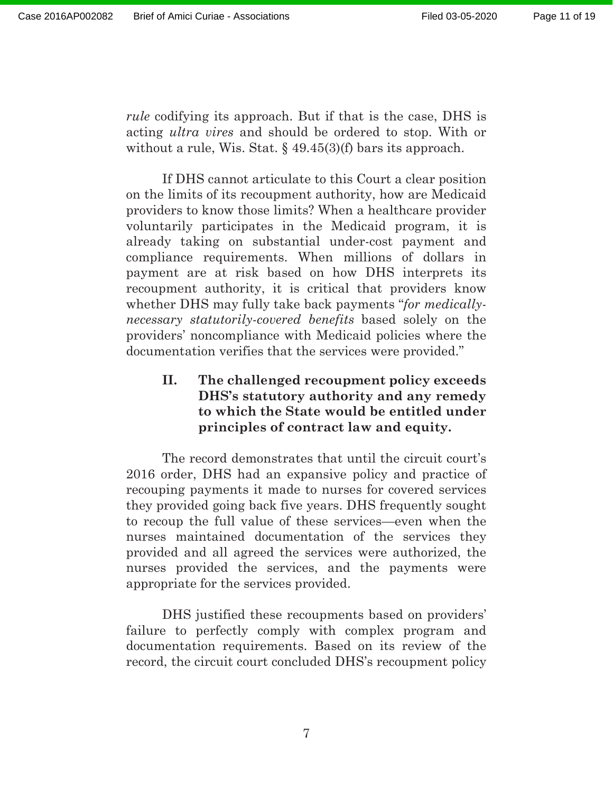*rule* codifying its approach. But if that is the case, DHS is acting *ultra vires* and should be ordered to stop. With or without a rule, Wis. Stat.  $\S$  49.45(3)(f) bars its approach.

If DHS cannot articulate to this Court a clear position on the limits of its recoupment authority, how are Medicaid providers to know those limits? When a healthcare provider voluntarily participates in the Medicaid program, it is already taking on substantial under-cost payment and compliance requirements. When millions of dollars in payment are at risk based on how DHS interprets its recoupment authority, it is critical that providers know whether DHS may fully take back payments "*for medicallynecessary statutorily-covered benefits* based solely on the providers' noncompliance with Medicaid policies where the documentation verifies that the services were provided."

### **II. The challenged recoupment policy exceeds DHS's statutory authority and any remedy to which the State would be entitled under principles of contract law and equity.**

The record demonstrates that until the circuit court's 2016 order, DHS had an expansive policy and practice of recouping payments it made to nurses for covered services they provided going back five years. DHS frequently sought to recoup the full value of these services—even when the nurses maintained documentation of the services they provided and all agreed the services were authorized, the nurses provided the services, and the payments were appropriate for the services provided.

DHS justified these recoupments based on providers' failure to perfectly comply with complex program and documentation requirements. Based on its review of the record, the circuit court concluded DHS's recoupment policy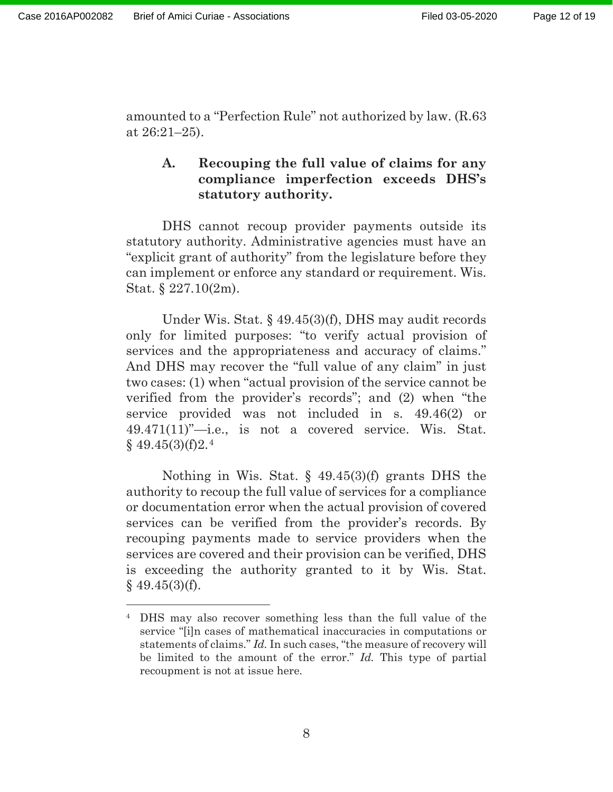amounted to a "Perfection Rule" not authorized by law. (R.63 at 26:21–25).

#### **A. Recouping the full value of claims for any compliance imperfection exceeds DHS's statutory authority.**

DHS cannot recoup provider payments outside its statutory authority. Administrative agencies must have an "explicit grant of authority" from the legislature before they can implement or enforce any standard or requirement. Wis. Stat. § 227.10(2m).

Under Wis. Stat. § 49.45(3)(f), DHS may audit records only for limited purposes: "to verify actual provision of services and the appropriateness and accuracy of claims." And DHS may recover the "full value of any claim" in just two cases: (1) when "actual provision of the service cannot be verified from the provider's records"; and (2) when "the service provided was not included in s. 49.46(2) or 49.471(11)"—i.e., is not a covered service. Wis. Stat.  $§$  49.45(3)(f)2.<sup>4</sup>

Nothing in Wis. Stat. § 49.45(3)(f) grants DHS the authority to recoup the full value of services for a compliance or documentation error when the actual provision of covered services can be verified from the provider's records. By recouping payments made to service providers when the services are covered and their provision can be verified, DHS is exceeding the authority granted to it by Wis. Stat.  $$49.45(3)(f).$ 

<sup>4</sup> DHS may also recover something less than the full value of the service "[i]n cases of mathematical inaccuracies in computations or statements of claims." *Id.* In such cases, "the measure of recovery will be limited to the amount of the error." *Id.* This type of partial recoupment is not at issue here.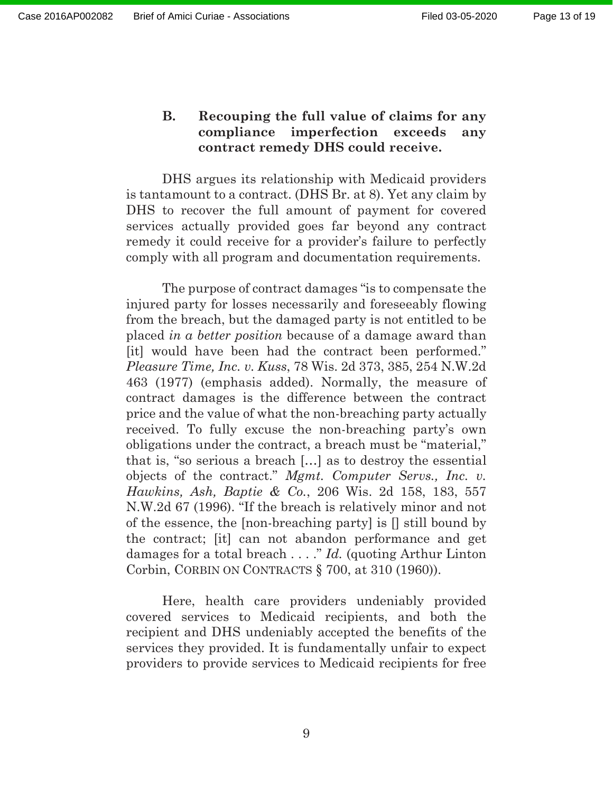#### **B. Recouping the full value of claims for any compliance imperfection exceeds any contract remedy DHS could receive.**

DHS argues its relationship with Medicaid providers is tantamount to a contract. (DHS Br. at 8). Yet any claim by DHS to recover the full amount of payment for covered services actually provided goes far beyond any contract remedy it could receive for a provider's failure to perfectly comply with all program and documentation requirements.

The purpose of contract damages "is to compensate the injured party for losses necessarily and foreseeably flowing from the breach, but the damaged party is not entitled to be placed *in a better position* because of a damage award than [it] would have been had the contract been performed." *Pleasure Time, Inc. v. Kuss*, 78 Wis. 2d 373, 385, 254 N.W.2d 463 (1977) (emphasis added). Normally, the measure of contract damages is the difference between the contract price and the value of what the non-breaching party actually received. To fully excuse the non-breaching party's own obligations under the contract, a breach must be "material," that is, "so serious a breach […] as to destroy the essential objects of the contract." *Mgmt. Computer Servs., Inc. v. Hawkins, Ash, Baptie & Co.*, 206 Wis. 2d 158, 183, 557 N.W.2d 67 (1996). "If the breach is relatively minor and not of the essence, the [non-breaching party] is [] still bound by the contract; [it] can not abandon performance and get damages for a total breach . . . ." *Id.* (quoting Arthur Linton Corbin, CORBIN ON CONTRACTS § 700, at 310 (1960)).

Here, health care providers undeniably provided covered services to Medicaid recipients, and both the recipient and DHS undeniably accepted the benefits of the services they provided. It is fundamentally unfair to expect providers to provide services to Medicaid recipients for free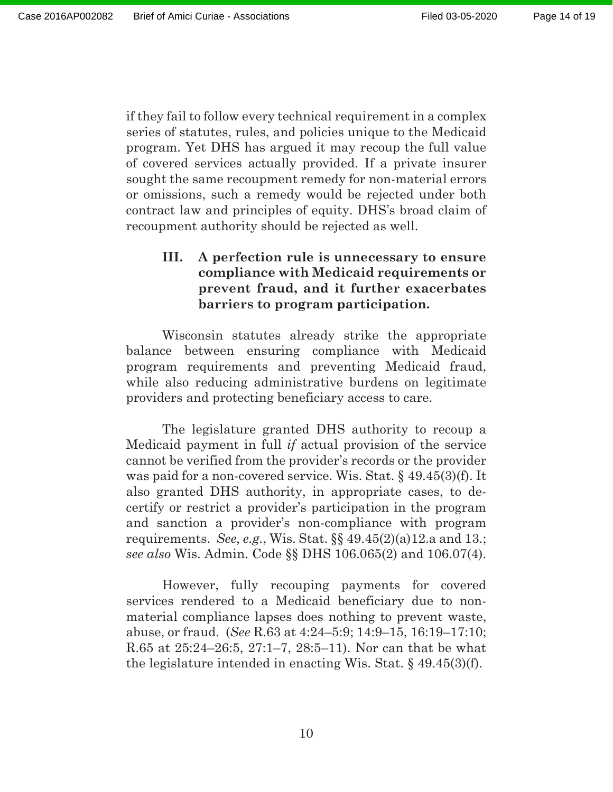if they fail to follow every technical requirement in a complex series of statutes, rules, and policies unique to the Medicaid program. Yet DHS has argued it may recoup the full value of covered services actually provided. If a private insurer sought the same recoupment remedy for non-material errors or omissions, such a remedy would be rejected under both contract law and principles of equity. DHS's broad claim of recoupment authority should be rejected as well.

### **III. A perfection rule is unnecessary to ensure compliance with Medicaid requirements or prevent fraud, and it further exacerbates barriers to program participation.**

Wisconsin statutes already strike the appropriate balance between ensuring compliance with Medicaid program requirements and preventing Medicaid fraud, while also reducing administrative burdens on legitimate providers and protecting beneficiary access to care.

The legislature granted DHS authority to recoup a Medicaid payment in full *if* actual provision of the service cannot be verified from the provider's records or the provider was paid for a non-covered service. Wis. Stat. § 49.45(3)(f). It also granted DHS authority, in appropriate cases, to decertify or restrict a provider's participation in the program and sanction a provider's non-compliance with program requirements. *See*, *e.g.*, Wis. Stat. §§ 49.45(2)(a)12.a and 13.; *see also* Wis. Admin. Code §§ DHS 106.065(2) and 106.07(4).

However, fully recouping payments for covered services rendered to a Medicaid beneficiary due to nonmaterial compliance lapses does nothing to prevent waste, abuse, or fraud. (*See* R.63 at 4:24–5:9; 14:9–15, 16:19–17:10; R.65 at 25:24–26:5, 27:1–7, 28:5–11). Nor can that be what the legislature intended in enacting Wis. Stat. § 49.45(3)(f).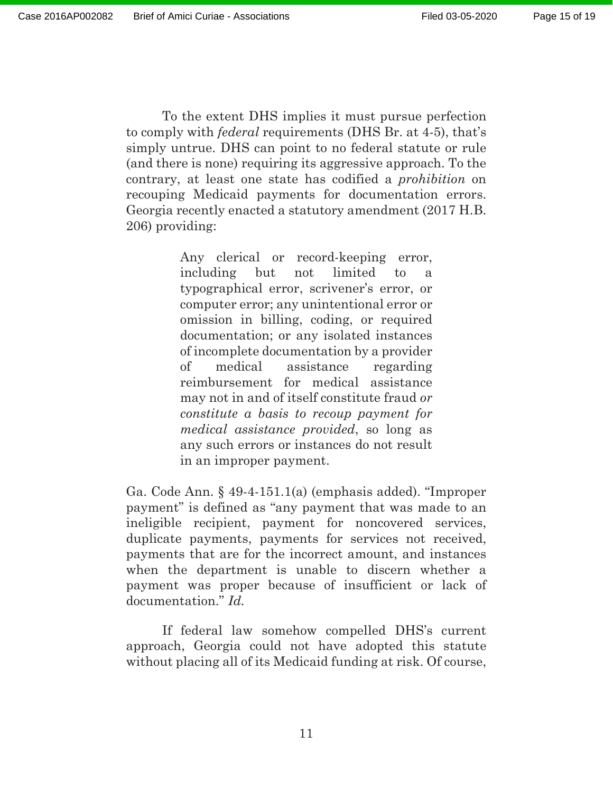206) providing:

To the extent DHS implies it must pursue perfection to comply with *federal* requirements (DHS Br. at 4-5), that's simply untrue. DHS can point to no federal statute or rule (and there is none) requiring its aggressive approach. To the contrary, at least one state has codified a *prohibition* on recouping Medicaid payments for documentation errors. Georgia recently enacted a statutory amendment (2017 H.B.

> Any clerical or record-keeping error, including but not limited to a typographical error, scrivener's error, or computer error; any unintentional error or omission in billing, coding, or required documentation; or any isolated instances of incomplete documentation by a provider of medical assistance regarding reimbursement for medical assistance may not in and of itself constitute fraud *or constitute a basis to recoup payment for medical assistance provided*, so long as any such errors or instances do not result in an improper payment.

Ga. Code Ann. § 49-4-151.1(a) (emphasis added). "Improper payment" is defined as "any payment that was made to an ineligible recipient, payment for noncovered services, duplicate payments, payments for services not received, payments that are for the incorrect amount, and instances when the department is unable to discern whether a payment was proper because of insufficient or lack of documentation." *Id.*

If federal law somehow compelled DHS's current approach, Georgia could not have adopted this statute without placing all of its Medicaid funding at risk. Of course,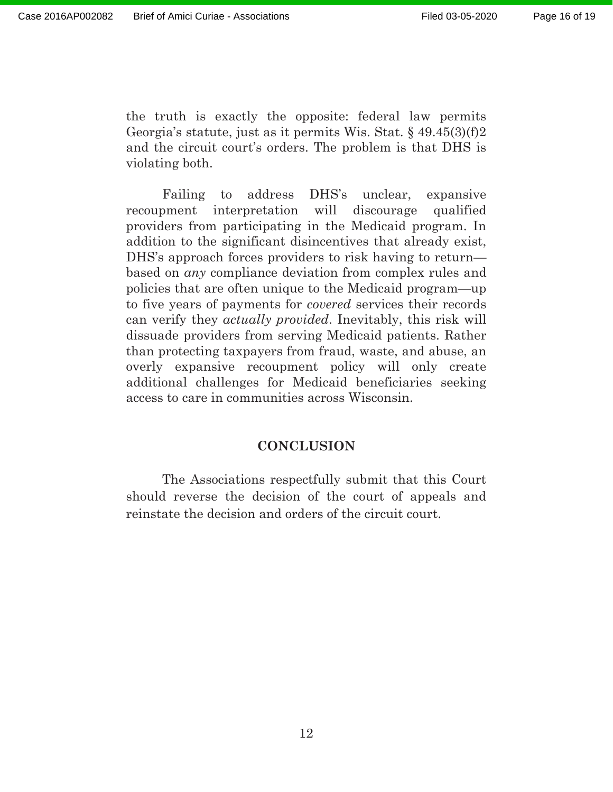the truth is exactly the opposite: federal law permits Georgia's statute, just as it permits Wis. Stat. § 49.45(3)(f)2 and the circuit court's orders. The problem is that DHS is violating both.

Failing to address DHS's unclear, expansive recoupment interpretation will discourage qualified providers from participating in the Medicaid program. In addition to the significant disincentives that already exist, DHS's approach forces providers to risk having to return based on *any* compliance deviation from complex rules and policies that are often unique to the Medicaid program—up to five years of payments for *covered* services their records can verify they *actually provided*. Inevitably, this risk will dissuade providers from serving Medicaid patients. Rather than protecting taxpayers from fraud, waste, and abuse, an overly expansive recoupment policy will only create additional challenges for Medicaid beneficiaries seeking access to care in communities across Wisconsin.

#### **CONCLUSION**

The Associations respectfully submit that this Court should reverse the decision of the court of appeals and reinstate the decision and orders of the circuit court.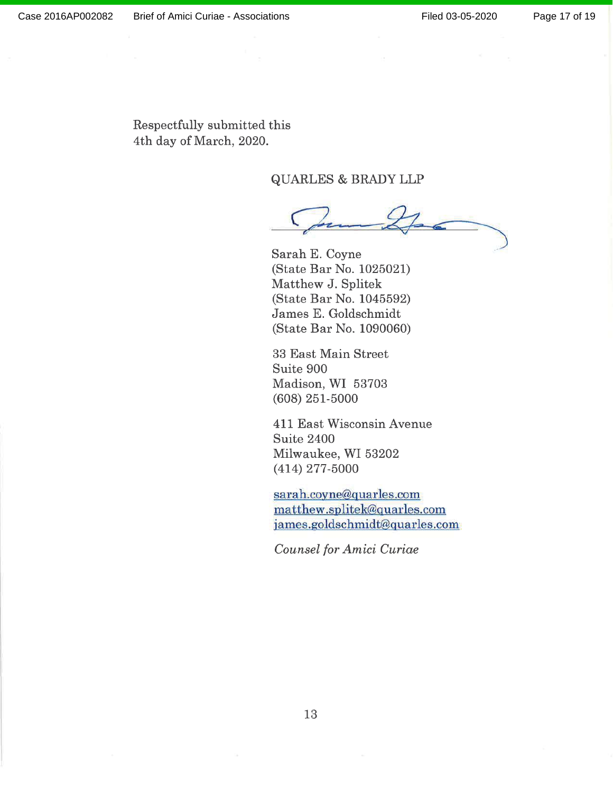Respectfully submitted this 4th day of March, 2020.

**QUARLES & BRADY LLP** 

Sarah E. Coyne (State Bar No. 1025021) Matthew J. Splitek (State Bar No. 1045592) James E. Goldschmidt (State Bar No. 1090060)

33 East Main Street Suite 900 Madison, WI 53703  $(608)$  251-5000

411 East Wisconsin Avenue Suite 2400 Milwaukee, WI 53202  $(414)$  277-5000

sarah.coyne@quarles.com matthew.splitek@quarles.com james.goldschmidt@quarles.com

Counsel for Amici Curiae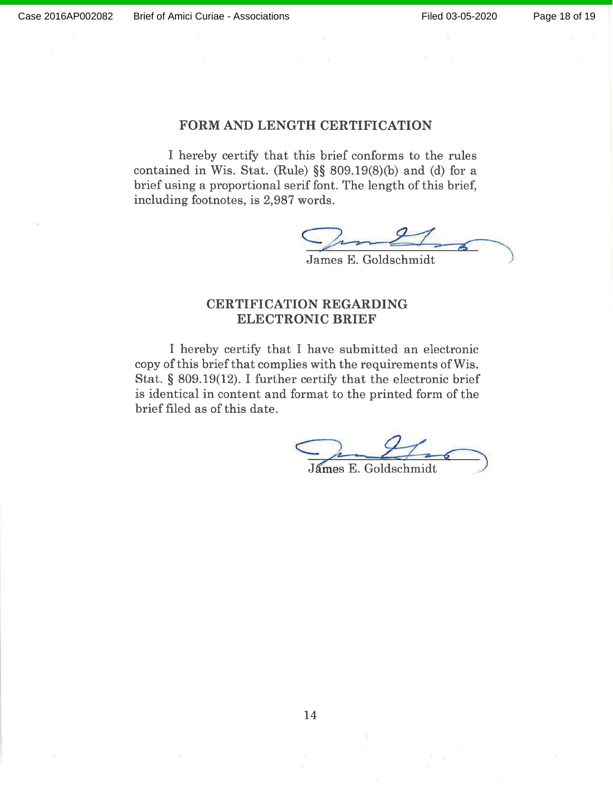#### FORM AND LENGTH CERTIFICATION

I hereby certify that this brief conforms to the rules contained in Wis. Stat. (Rule)  $\S$ § 809.19(8)(b) and (d) for a brief using a proportional serif font. The length of this brief, including footnotes, is 2,987 words.

James E. Goldschmidt

#### **CERTIFICATION REGARDING ELECTRONIC BRIEF**

I hereby certify that I have submitted an electronic copy of this brief that complies with the requirements of Wis. Stat.  $\S$  809.19(12). I further certify that the electronic brief is identical in content and format to the printed form of the brief filed as of this date.

James E. Goldschmidt